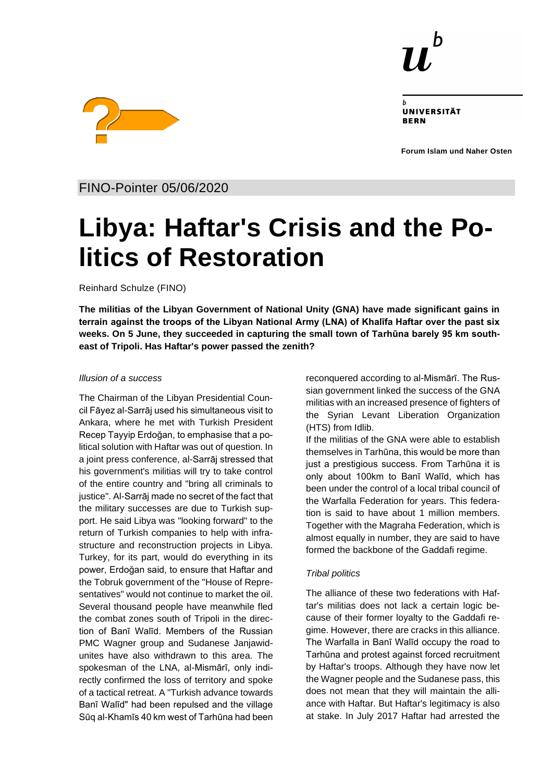

UNIVERSITÄT **RERN** 

**Forum Islam und Naher Osten**



FINO-Pointer 05/06/2020

# **Libya: Haftar's Crisis and the Politics of Restoration**

Reinhard Schulze (FINO)

**The militias of the Libyan Government of National Unity (GNA) have made significant gains in terrain against the troops of the Libyan National Army (LNA) of Khalīfa Haftar over the past six weeks. On 5 June, they succeeded in capturing the small town of Tarhūna barely 95 km southeast of Tripoli. Has Haftar's power passed the zenith?**

# *Illusion of a success*

The Chairman of the Libyan Presidential Council Fāyez al-Sarrāj used his simultaneous visit to Ankara, where he met with Turkish President Recep Tayyip Erdoğan, to emphasise that a political solution with Haftar was out of question. In a joint press conference, al-Sarrāj stressed that his government's militias will try to take control of the entire country and "bring all criminals to justice". Al-Sarrāj made no secret of the fact that the military successes are due to Turkish support. He said Libya was "looking forward" to the return of Turkish companies to help with infrastructure and reconstruction projects in Libya. Turkey, for its part, would do everything in its power, Erdoğan said, to ensure that Haftar and the Tobruk government of the "House of Representatives" would not continue to market the oil. Several thousand people have meanwhile fled the combat zones south of Tripoli in the direction of Banī Walīd. Members of the Russian PMC Wagner group and Sudanese Janjawidunites have also withdrawn to this area. The spokesman of the LNA, al-Mismārī, only indirectly confirmed the loss of territory and spoke of a tactical retreat. A "Turkish advance towards Banī Walīd" had been repulsed and the village Sūq al-Khamīs 40 km west of Tarhūna had been reconquered according to al-Mismārī. The Russian government linked the success of the GNA militias with an increased presence of fighters of the Syrian Levant Liberation Organization (HTS) from Idlib.

If the militias of the GNA were able to establish themselves in Tarhūna, this would be more than just a prestigious success. From Tarhūna it is only about 100km to Banī Walīd, which has been under the control of a local tribal council of the Warfalla Federation for years. This federation is said to have about 1 million members. Together with the Magraha Federation, which is almost equally in number, they are said to have formed the backbone of the Gaddafi regime.

# *Tribal politics*

The alliance of these two federations with Haftar's militias does not lack a certain logic because of their former loyalty to the Gaddafi regime. However, there are cracks in this alliance. The Warfalla in Banī Walīd occupy the road to Tarhūna and protest against forced recruitment by Haftar's troops. Although they have now let the Wagner people and the Sudanese pass, this does not mean that they will maintain the alliance with Haftar. But Haftar's legitimacy is also at stake. In July 2017 Haftar had arrested the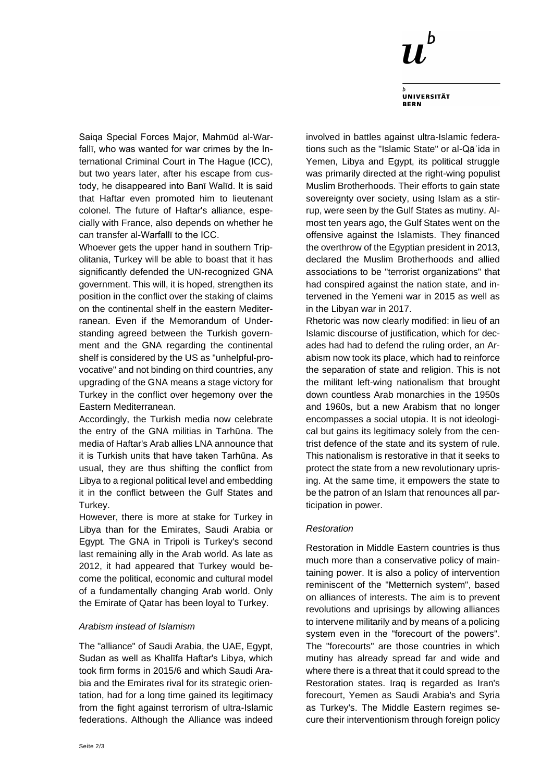

**UNIVERSITÄT BERN** 

Saiqa Special Forces Major, Mahmūd al-Warfallī, who was wanted for war crimes by the International Criminal Court in The Hague (ICC), but two years later, after his escape from custody, he disappeared into Banī Walīd. It is said that Haftar even promoted him to lieutenant colonel. The future of Haftar's alliance, especially with France, also depends on whether he can transfer al-Warfallī to the ICC.

Whoever gets the upper hand in southern Tripolitania, Turkey will be able to boast that it has significantly defended the UN-recognized GNA government. This will, it is hoped, strengthen its position in the conflict over the staking of claims on the continental shelf in the eastern Mediterranean. Even if the Memorandum of Understanding agreed between the Turkish government and the GNA regarding the continental shelf is considered by the US as "unhelpful-provocative" and not binding on third countries, any upgrading of the GNA means a stage victory for Turkey in the conflict over hegemony over the Eastern Mediterranean.

Accordingly, the Turkish media now celebrate the entry of the GNA militias in Tarhūna. The media of Haftar's Arab allies LNA announce that it is Turkish units that have taken Tarhūna. As usual, they are thus shifting the conflict from Libya to a regional political level and embedding it in the conflict between the Gulf States and Turkey.

However, there is more at stake for Turkey in Libya than for the Emirates, Saudi Arabia or Egypt. The GNA in Tripoli is Turkey's second last remaining ally in the Arab world. As late as 2012, it had appeared that Turkey would become the political, economic and cultural model of a fundamentally changing Arab world. Only the Emirate of Qatar has been loyal to Turkey.

#### *Arabism instead of Islamism*

The "alliance" of Saudi Arabia, the UAE, Egypt, Sudan as well as Khalīfa Haftar's Libya, which took firm forms in 2015/6 and which Saudi Arabia and the Emirates rival for its strategic orientation, had for a long time gained its legitimacy from the fight against terrorism of ultra-Islamic federations. Although the Alliance was indeed involved in battles against ultra-Islamic federations such as the "Islamic State" or al-Qāʿida in Yemen, Libya and Egypt, its political struggle was primarily directed at the right-wing populist Muslim Brotherhoods. Their efforts to gain state sovereignty over society, using Islam as a stirrup, were seen by the Gulf States as mutiny. Almost ten years ago, the Gulf States went on the offensive against the Islamists. They financed the overthrow of the Egyptian president in 2013, declared the Muslim Brotherhoods and allied associations to be "terrorist organizations" that had conspired against the nation state, and intervened in the Yemeni war in 2015 as well as in the Libyan war in 2017.

Rhetoric was now clearly modified: in lieu of an Islamic discourse of justification, which for decades had had to defend the ruling order, an Arabism now took its place, which had to reinforce the separation of state and religion. This is not the militant left-wing nationalism that brought down countless Arab monarchies in the 1950s and 1960s, but a new Arabism that no longer encompasses a social utopia. It is not ideological but gains its legitimacy solely from the centrist defence of the state and its system of rule. This nationalism is restorative in that it seeks to protect the state from a new revolutionary uprising. At the same time, it empowers the state to be the patron of an Islam that renounces all participation in power.

# *Restoration*

Restoration in Middle Eastern countries is thus much more than a conservative policy of maintaining power. It is also a policy of intervention reminiscent of the "Metternich system", based on alliances of interests. The aim is to prevent revolutions and uprisings by allowing alliances to intervene militarily and by means of a policing system even in the "forecourt of the powers". The "forecourts" are those countries in which mutiny has already spread far and wide and where there is a threat that it could spread to the Restoration states. Iraq is regarded as Iran's forecourt, Yemen as Saudi Arabia's and Syria as Turkey's. The Middle Eastern regimes secure their interventionism through foreign policy